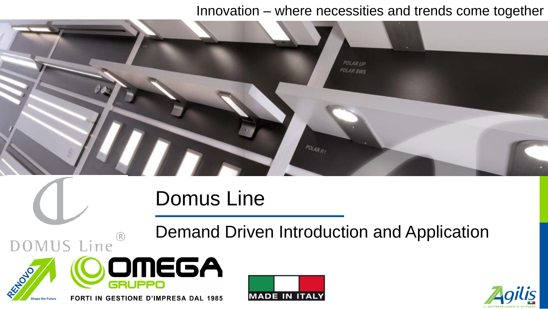### Innovation – where necessities and trends come together



# Domus Line

Demand Driven Introduction and Application





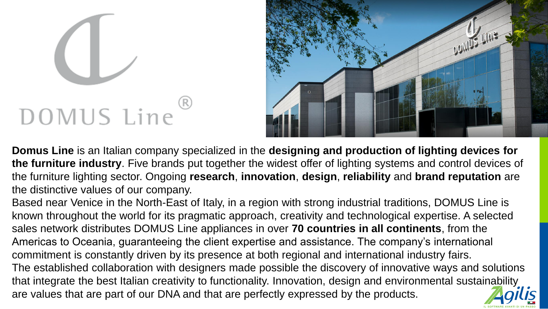# DOMUS Line



**Domus Line** is an Italian company specialized in the **designing and production of lighting devices for the furniture industry**. Five brands put together the widest offer of lighting systems and control devices of the furniture lighting sector. Ongoing **research**, **innovation**, **design**, **reliability** and **brand reputation** are the distinctive values of our company.

Based near Venice in the North-East of Italy, in a region with strong industrial traditions, DOMUS Line is known throughout the world for its pragmatic approach, creativity and technological expertise. A selected sales network distributes DOMUS Line appliances in over **70 countries in all continents**, from the Americas to Oceania, guaranteeing the client expertise and assistance. The company's international commitment is constantly driven by its presence at both regional and international industry fairs. The established collaboration with designers made possible the discovery of innovative ways and solutions that integrate the best Italian creativity to functionality. Innovation, design and environmental sustainability are values that are part of our DNA and that are perfectly expressed by the products.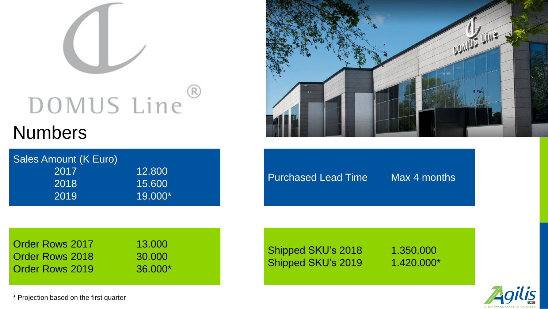# $\circledR$ DOMUS Line

# **Numbers**

| 12.800    |
|-----------|
| 15.600    |
| $19.000*$ |
|           |



Purchased Lead Time Max 4 months

**Order Rows 2017 13.000 Order Rows 2018** 30.000 Order Rows 2019 36.000\*

Shipped SKU's 2018 1.350.000 Shipped SKU's 2019 1.420.000\*



\* Projection based on the first quarter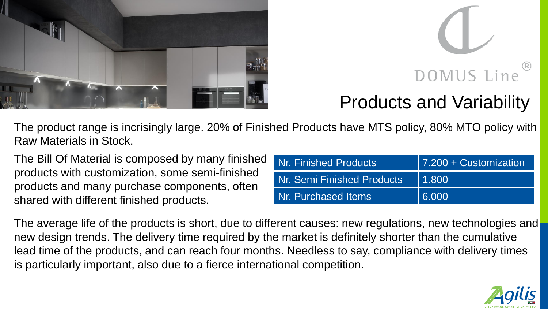



# Products and Variability

The product range is incrisingly large. 20% of Finished Products have MTS policy, 80% MTO policy with Raw Materials in Stock.

The Bill Of Material is composed by many finished products with customization, some semi-finished products and many purchase components, often shared with different finished products.

| Nr. Finished Products      | 7.200 + Customization |
|----------------------------|-----------------------|
| Nr. Semi Finished Products | 1.800                 |
| Nr. Purchased Items        | 6.000                 |

The average life of the products is short, due to different causes: new regulations, new technologies and new design trends. The delivery time required by the market is definitely shorter than the cumulative lead time of the products, and can reach four months. Needless to say, compliance with delivery times is particularly important, also due to a fierce international competition.

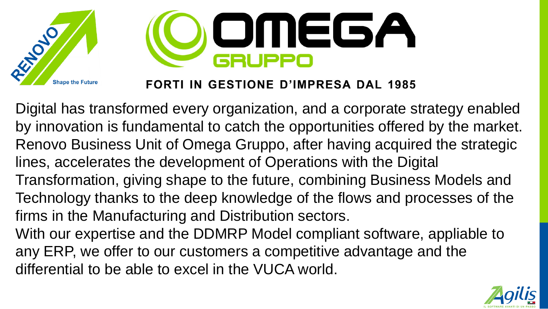

Digital has transformed every organization, and a corporate strategy enabled by innovation is fundamental to catch the opportunities offered by the market. Renovo Business Unit of Omega Gruppo, after having acquired the strategic lines, accelerates the development of Operations with the Digital Transformation, giving shape to the future, combining Business Models and Technology thanks to the deep knowledge of the flows and processes of the firms in the Manufacturing and Distribution sectors. With our expertise and the DDMRP Model compliant software, appliable to any ERP, we offer to our customers a competitive advantage and the differential to be able to excel in the VUCA world.

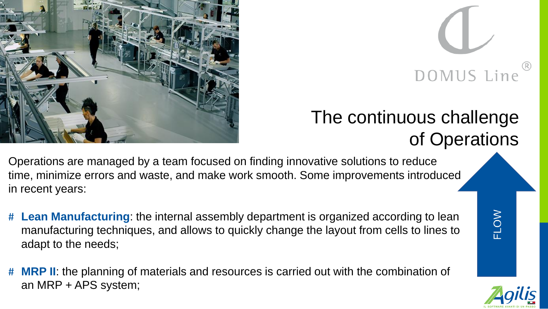



FLOW

# The continuous challenge of Operations

Operations are managed by a team focused on finding innovative solutions to reduce time, minimize errors and waste, and make work smooth. Some improvements introduced in recent years:

- # **Lean Manufacturing**: the internal assembly department is organized according to lean manufacturing techniques, and allows to quickly change the layout from cells to lines to adapt to the needs;
- # **MRP II**: the planning of materials and resources is carried out with the combination of an MRP + APS system;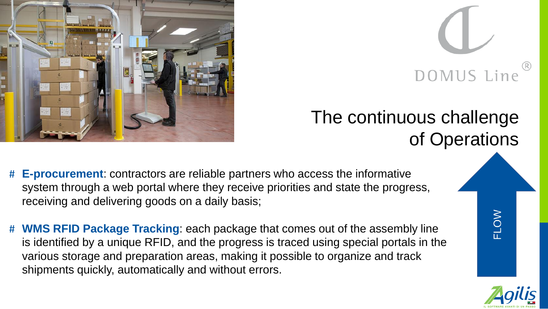



# The continuous challenge of Operations

- # **E-procurement**: contractors are reliable partners who access the informative system through a web portal where they receive priorities and state the progress, receiving and delivering goods on a daily basis;
- # **WMS RFID Package Tracking**: each package that comes out of the assembly line is identified by a unique RFID, and the progress is traced using special portals in the various storage and preparation areas, making it possible to organize and track shipments quickly, automatically and without errors.

FLOW

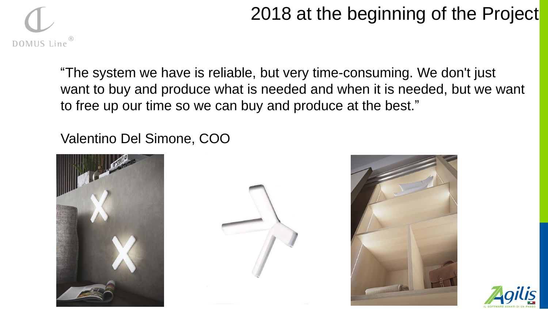# 2018 at the beginning of the Project

"The system we have is reliable, but very time-consuming. We don't just want to buy and produce what is needed and when it is needed, but we want to free up our time so we can buy and produce at the best."

Valentino Del Simone, COO







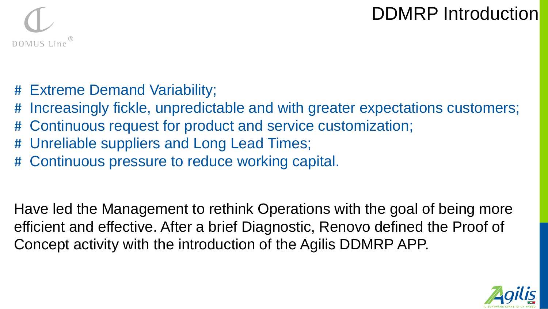# DDMRP Introduction



- # Extreme Demand Variability;
- # Increasingly fickle, unpredictable and with greater expectations customers;
- # Continuous request for product and service customization;
- # Unreliable suppliers and Long Lead Times;
- # Continuous pressure to reduce working capital.

Have led the Management to rethink Operations with the goal of being more efficient and effective. After a brief Diagnostic, Renovo defined the Proof of Concept activity with the introduction of the Agilis DDMRP APP.

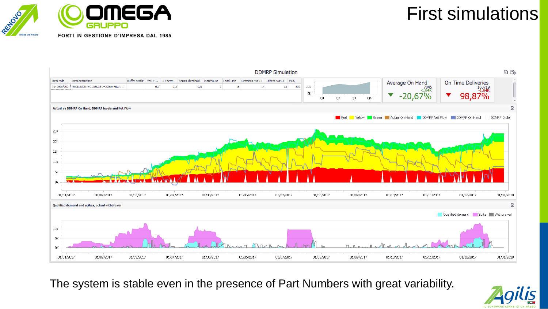





The system is stable even in the presence of Part Numbers with great variability.

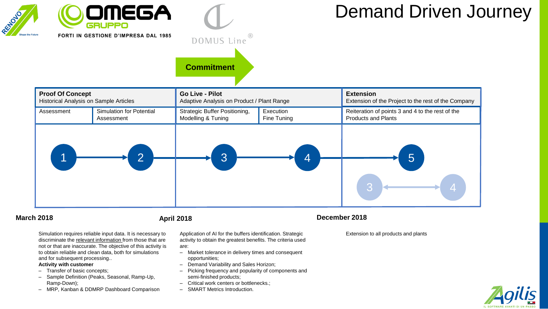

# $( R )$ DOMUS Line **Commitment**

# Demand Driven Journey



### **March 2018**

Simulation requires reliable input data. It is necessary to discriminate the relevant information from those that are not or that are inaccurate. The objective of this activity is to obtain reliable and clean data, both for simulations and for subsequent processing..

### **Activity with customer**

- ‒ Transfer of basic concepts;
- ‒ Sample Definition (Peaks, Seasonal, Ramp-Up, Ramp-Down);
- MRP, Kanban & DDMRP Dashboard Comparison

Application of AI for the buffers identification. Strategic activity to obtain the greatest benefits. The criteria used

- are:
- Market tolerance in delivery times and consequent opportunities;
- ‒ Demand Variability and Sales Horizon;
- ‒ Picking frequency and popularity of components and semi-finished products;
- ‒ Critical work centers or bottlenecks.;
- ‒ SMART Metrics Introduction.

### **April 2018 December 2018**

Extension to all products and plants

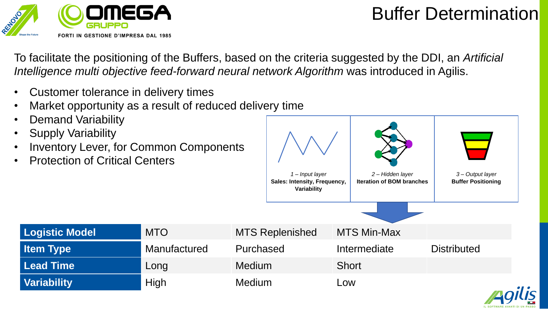

# Buffer Determination

To facilitate the positioning of the Buffers, based on the criteria suggested by the DDI, an *Artificial Intelligence multi objective feed-forward neural network Algorithm* was introduced in Agilis.

- Customer tolerance in delivery times
- Market opportunity as a result of reduced delivery time
- Demand Variability
- Supply Variability
- Inventory Lever, for Common Components
- Protection of Critical Centers



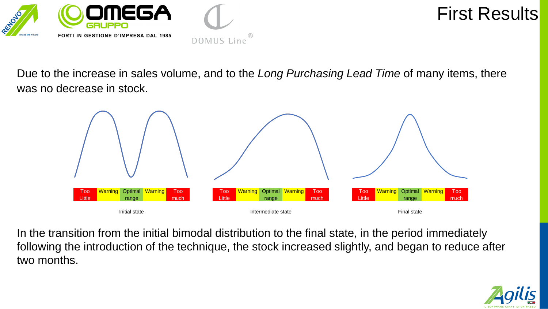

## First Results

Due to the increase in sales volume, and to the *Long Purchasing Lead Time* of many items, there was no decrease in stock.

(R



In the transition from the initial bimodal distribution to the final state, in the period immediately following the introduction of the technique, the stock increased slightly, and began to reduce after two months.

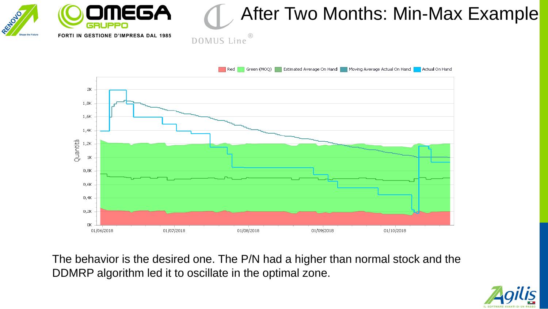

The behavior is the desired one. The P/N had a higher than normal stock and the DDMRP algorithm led it to oscillate in the optimal zone.

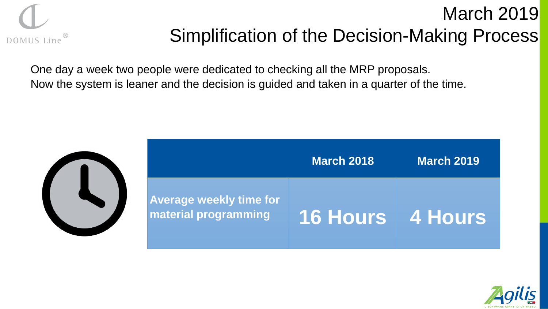

# March 2019 Simplification of the Decision-Making Process

One day a week two people were dedicated to checking all the MRP proposals. Now the system is leaner and the decision is guided and taken in a quarter of the time.



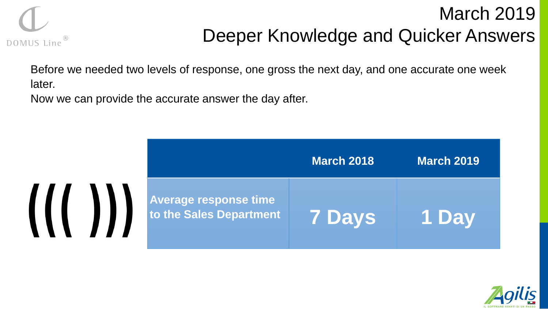

# March 2019 Deeper Knowledge and Quicker Answers

Before we needed two levels of response, one gross the next day, and one accurate one week later.

Now we can provide the accurate answer the day after.



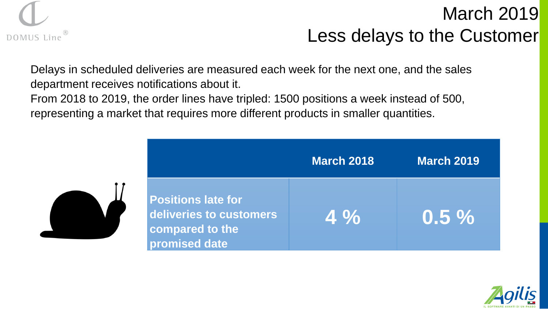

# March 2019 Less delays to the Customer

Delays in scheduled deliveries are measured each week for the next one, and the sales department receives notifications about it.

From 2018 to 2019, the order lines have tripled: 1500 positions a week instead of 500, representing a market that requires more different products in smaller quantities.

|                                                                                          | <b>March 2018</b> | <b>March 2019</b> |
|------------------------------------------------------------------------------------------|-------------------|-------------------|
| <b>Positions late for</b><br>deliveries to customers<br>compared to the<br>promised date | $4\%$             | $0.5 \%$          |

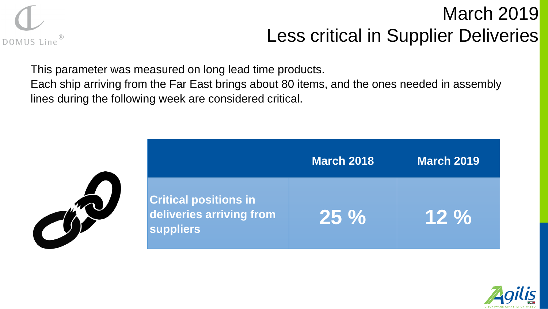

# March 2019 Less critical in Supplier Deliveries

This parameter was measured on long lead time products.

Each ship arriving from the Far East brings about 80 items, and the ones needed in assembly lines during the following week are considered critical.

|                                                                       | <b>March 2018</b> | <b>March 2019</b> |
|-----------------------------------------------------------------------|-------------------|-------------------|
| <b>Critical positions in</b><br>deliveries arriving from<br>suppliers | 25 %              | 12 %              |

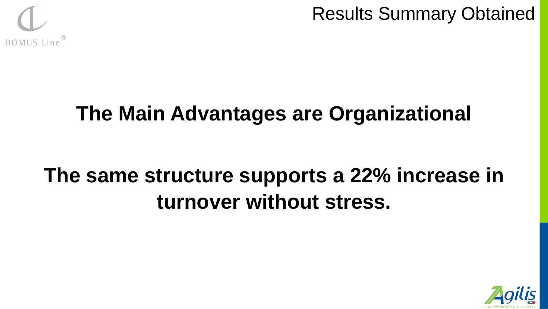

Results Summary Obtained

# **The Main Advantages are Organizational**

# **The same structure supports a 22% increase in turnover without stress.**

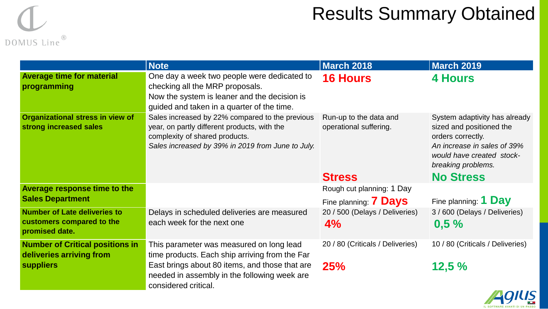

# Results Summary Obtained

|                                                                                    | <b>Note</b>                                                                                                                                                                            | <b>March 2018</b>                                | <b>March 2019</b>                                                                                                                                                |
|------------------------------------------------------------------------------------|----------------------------------------------------------------------------------------------------------------------------------------------------------------------------------------|--------------------------------------------------|------------------------------------------------------------------------------------------------------------------------------------------------------------------|
| <b>Average time for material</b><br>programming                                    | One day a week two people were dedicated to<br>checking all the MRP proposals.<br>Now the system is leaner and the decision is<br>guided and taken in a quarter of the time.           | <b>16 Hours</b>                                  | <b>4 Hours</b>                                                                                                                                                   |
| <b>Organizational stress in view of</b><br>strong increased sales                  | Sales increased by 22% compared to the previous<br>year, on partly different products, with the<br>complexity of shared products.<br>Sales increased by 39% in 2019 from June to July. | Run-up to the data and<br>operational suffering. | System adaptivity has already<br>sized and positioned the<br>orders correctly.<br>An increase in sales of 39%<br>would have created stock-<br>breaking problems. |
|                                                                                    |                                                                                                                                                                                        | <b>Stress</b>                                    | <b>No Stress</b>                                                                                                                                                 |
| Average response time to the                                                       |                                                                                                                                                                                        | Rough cut planning: 1 Day                        |                                                                                                                                                                  |
| <b>Sales Department</b>                                                            |                                                                                                                                                                                        | Fine planning: <b>7 Days</b>                     | Fine planning: 1 Day                                                                                                                                             |
| <b>Number of Late deliveries to</b><br>customers compared to the<br>promised date. | Delays in scheduled deliveries are measured<br>each week for the next one                                                                                                              | 20 / 500 (Delays / Deliveries)<br>4%             | 3 / 600 (Delays / Deliveries)<br>0,5%                                                                                                                            |
| <b>Number of Critical positions in</b><br>deliveries arriving from                 | This parameter was measured on long lead<br>time products. Each ship arriving from the Far                                                                                             | 20 / 80 (Criticals / Deliveries)                 | 10 / 80 (Criticals / Deliveries)                                                                                                                                 |
| <b>suppliers</b>                                                                   | East brings about 80 items, and those that are<br>needed in assembly in the following week are<br>considered critical.                                                                 | 25%                                              | 12,5%                                                                                                                                                            |